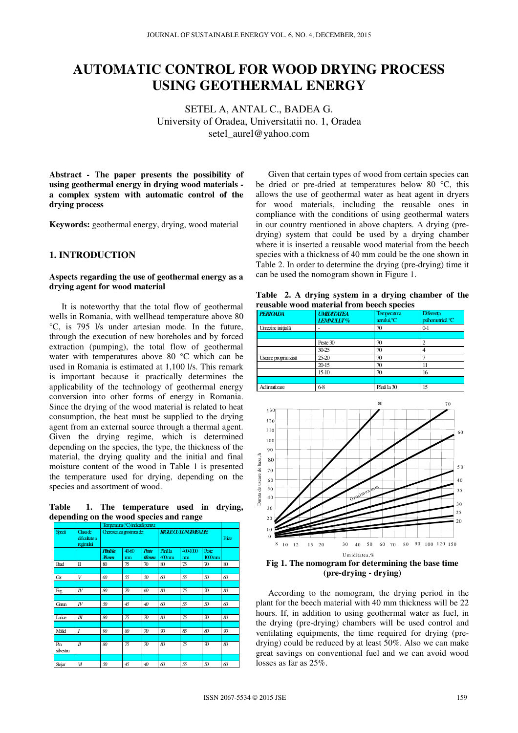# **AUTOMATIC CONTROL FOR WOOD DRYING PROCESS USING GEOTHERMAL ENERGY**

SETEL A, ANTAL C., BADEA G. University of Oradea, Universitatii no. 1, Oradea setel\_aurel@yahoo.com

**Abstract - The paper presents the possibility of using geothermal energy in drying wood materials a complex system with automatic control of the drying process** 

**Keywords:** geothermal energy, drying, wood material

# **1. INTRODUCTION**

#### **Aspects regarding the use of geothermal energy as a drying agent for wood material**

It is noteworthy that the total flow of geothermal wells in Romania, with wellhead temperature above 80 °C, is 795 l/s under artesian mode. In the future, through the execution of new boreholes and by forced extraction (pumping), the total flow of geothermal water with temperatures above 80 °C which can be used in Romania is estimated at 1,100 l/s. This remark is important because it practically determines the applicability of the technology of geothermal energy conversion into other forms of energy in Romania. Since the drying of the wood material is related to heat consumption, the heat must be supplied to the drying agent from an external source through a thermal agent. Given the drying regime, which is determined depending on the species, the type, the thickness of the material, the drying quality and the initial and final moisture content of the wood in Table 1 is presented the temperature used for drying, depending on the species and assortment of wood.

**Table 1. The temperature used in drying, depending on the wood species and range** 

|                  |                                         | Temperatura (°C) indicată pertru: |            |                         |                               |                |                                      |       |
|------------------|-----------------------------------------|-----------------------------------|------------|-------------------------|-------------------------------|----------------|--------------------------------------|-------|
| Specii           | Classiche<br>dificultate a<br>regimilui | Cherestea cu grosimea de:         |            |                         | <b>RIGLE CULLING MEADE:</b>   |                |                                      | Frize |
|                  |                                         | <b>Până la</b><br>$38$ mm         | 40f0<br>mm | <b>Peste</b><br>$60$ mm | Panila<br>$400$ <sub>mm</sub> | 400-1000<br>mm | <b>Peste</b><br>$1000$ <sub>mm</sub> |       |
| <b>Brad</b>      | П                                       | 80                                | 75         | 70                      | 80                            | 75             | 70                                   | 80    |
| <b>Gr</b>        | V                                       | 60                                | 55         | 50                      | 60                            | 55             | 50                                   | 60    |
| Fag              | $I\!V$                                  | 80                                | 70         | 60                      | 80                            | 75             | 70                                   | 80    |
| Goun             | $I\!V$                                  | 50                                | 45         | 40                      | 60                            | 55             | 50                                   | 60    |
| Larice           | Ш                                       | 80                                | 75         | $\mathcal{D}$           | 80                            | 75             | 70                                   | 80    |
| Molid            | $\overline{I}$                          | 90                                | 80         | $\mathcal{D}$           | 90                            | 85             | 80                                   | 90    |
| Pin<br>silvestru | $\mathcal{I}$                           | 80                                | 75         | 70                      | 80                            | 75             | 70                                   | 80    |
|                  |                                         |                                   |            |                         |                               |                |                                      |       |
| Stejar           | И                                       | 50                                | 45         | 40                      | 60                            | 55             | 50                                   | 60    |

Given that certain types of wood from certain species can be dried or pre-dried at temperatures below 80 °C, this allows the use of geothermal water as heat agent in dryers for wood materials, including the reusable ones in compliance with the conditions of using geothermal waters in our country mentioned in above chapters. A drying (predrying) system that could be used by a drying chamber where it is inserted a reusable wood material from the beech species with a thickness of 40 mm could be the one shown in Table 2. In order to determine the drying (pre-drying) time it can be used the nomogram shown in Figure 1.

**Table 2. A drying system in a drying chamber of the reusable wood material from beech species** 

|                     | reasasie wood material from secen species |                                   |                                     |  |  |
|---------------------|-------------------------------------------|-----------------------------------|-------------------------------------|--|--|
| <b>PERIOADA</b>     | <b>UMIDITATEA</b><br><b>LEMNULUT%</b>     | <b>Temperatura</b><br>aerului, °C | <b>Diferenta</b><br>psihometrică °C |  |  |
| Umezire initială    |                                           | 70                                | $0-1$                               |  |  |
|                     | Peste 30                                  | 70                                | $\overline{c}$                      |  |  |
|                     | 30-25                                     | 70                                |                                     |  |  |
| Uscare propriu zisă | 25-20                                     | 70                                |                                     |  |  |
|                     | 20-15                                     | 70                                | 11                                  |  |  |
|                     | 15-10                                     | 70                                | 16                                  |  |  |
|                     |                                           |                                   |                                     |  |  |
| Aclimatizare        | 6-8                                       | Până la 30                        | 15                                  |  |  |



**(pre-drying - drying)** 

According to the nomogram, the drying period in the plant for the beech material with 40 mm thickness will be 22 hours. If, in addition to using geothermal water as fuel, in the drying (pre-drying) chambers will be used control and ventilating equipments, the time required for drying (predrying) could be reduced by at least 50%. Also we can make great savings on conventional fuel and we can avoid wood losses as far as 25%.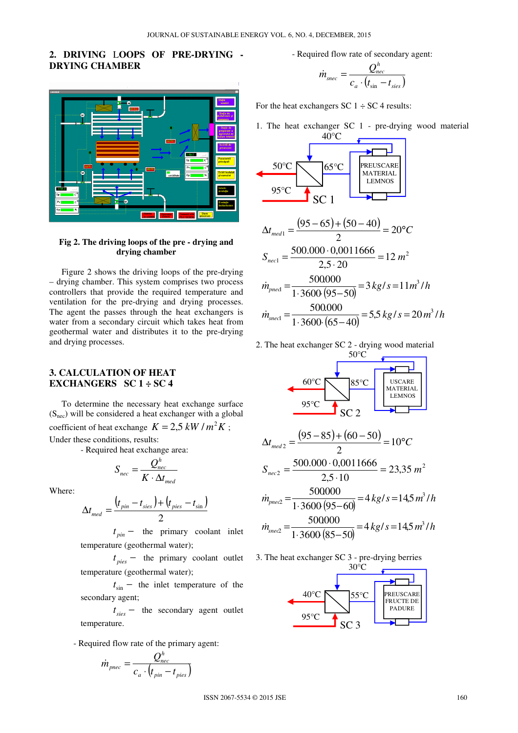# **2. DRIVING** L**OOPS OF PRE-DRYING - DRYING CHAMBER**



#### **Fig 2. The driving loops of the pre - drying and drying chamber**

Figure 2 shows the driving loops of the pre-drying – drying chamber. This system comprises two process controllers that provide the required temperature and ventilation for the pre-drying and drying processes. The agent the passes through the heat exchangers is water from a secondary circuit which takes heat from geothermal water and distributes it to the pre-drying and drying processes.

# **3. CALCULATION OF HEAT EXCHANGERS SC 1 ÷ SC 4**

To determine the necessary heat exchange surface  $(S<sub>nec</sub>)$  will be considered a heat exchanger with a global coefficient of heat exchange  $K = 2.5 \, kW / m^2 K$ ; Under these conditions, results:

- Required heat exchange area:

$$
S_{\text{nec}} = \frac{Q_{\text{nec}}^h}{K \cdot \Delta t_{\text{med}}}
$$

Where:

$$
\Delta t_{med} = \frac{\left(t_{pin} - t_{sies}\right) + \left(t_{pies} - t_{sin}\right)}{2}
$$

 $t_{pin}$  − the primary coolant inlet temperature (geothermal water);

 $t_{\text{pies}}$  − the primary coolant outlet temperature (geothermal water);

*t* sin − the inlet temperature of the secondary agent;

*t sies* − the secondary agent outlet temperature.

- Required flow rate of the primary agent:

$$
\dot{m}_{p\text{nec}} = \frac{Q_{\text{nec}}^h}{c_a \cdot (t_{\text{pin}} - t_{\text{pies}})}
$$

- Required flow rate of secondary agent:

$$
\dot{m}_{\text{succ}} = \frac{Q_{\text{nec}}^h}{c_a \cdot (t_{\text{sin}} - t_{\text{sies}})}
$$

For the heat exchangers SC  $1 \div$  SC 4 results:

1. The heat exchanger SC 1 - pre-drying wood material



$$
\Delta t_{med1} = \frac{(95 - 65) + (50 - 40)}{2} = 20^{\circ}C
$$
  

$$
S_{necl} = \frac{500.000 \cdot 0,0011666}{2,5 \cdot 20} = 12 m^2
$$
  

$$
\dot{m}_{pned} = \frac{500000}{1 \cdot 3600 (95 - 50)} = 3 kg/s = 11 m^3/h
$$
  
500,000

$$
\dot{m}_{\text{speed}} = \frac{500.000}{1 \cdot 3600 \cdot (65 - 40)} = 5.5 \, kg / s = 20 \, m^3 / h
$$

2. The heat exchanger SC 2 - drying wood material



$$
\Delta t_{med2} = \frac{(95 - 85) + (60 - 50)}{2} = 10^{\circ}C
$$
  
\n
$$
S_{nec2} = \frac{500.000 \cdot 0,0011666}{2,5 \cdot 10} = 23,35 \text{ m}^2
$$
  
\n
$$
\dot{m}_{pne2} = \frac{500000}{1 \cdot 3600 (95 - 60)} = 4 \text{ kg/s} = 14,5 \text{ m}^3/\text{h}
$$
  
\n
$$
\dot{m}_{snee2} = \frac{500000}{1 \cdot 3600 (85 - 50)} = 4 \text{ kg/s} = 14,5 \text{ m}^3/\text{h}
$$

3. The heat exchanger SC 3 - pre-drying berries

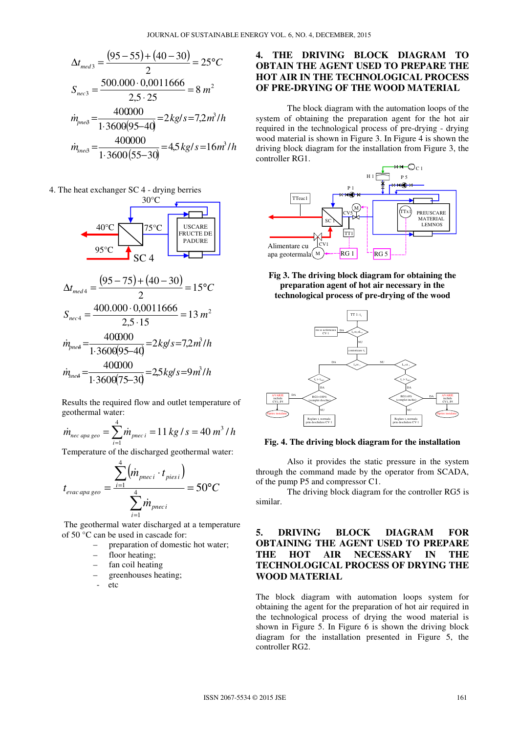$$
\Delta t_{med3} = \frac{(95 - 55) + (40 - 30)}{2} = 25^{\circ}C
$$
  

$$
S_{nec3} = \frac{500.000 \cdot 0,0011666}{2,5 \cdot 25} = 8 m^2
$$
  

$$
\dot{m}_{pne8} = \frac{400000}{1 \cdot 3600(95 - 40)} = 2 kg/s = 7,2 m^3/h
$$
  

$$
\dot{m}_{snee8} = \frac{400000}{1 \cdot 3600(55 - 30)} = 4,5 kg/s = 16 m^3/h
$$

4. The heat exchanger SC 4 - drying berries



Results the required flow and outlet temperature of geothermal water:

$$
\dot{m}_{\text{nec apa geo}} = \sum_{i=1}^{4} \dot{m}_{\text{pnc }i} = 11 \, kg / s = 40 \, m^3 / h
$$

Temperature of the discharged geothermal water:

$$
t_{\text{evac} \, \text{apa} \, \text{geo}} = \frac{\sum_{i=1}^{4} (m_{\text{pneci}} \cdot t_{\text{pies } i})}{\sum_{i=1}^{4} m_{\text{pneci}}} = 50^{\circ}C
$$

 The geothermal water discharged at a temperature of 50 °C can be used in cascade for:

- preparation of domestic hot water;
- floor heating;
- fan coil heating
- greenhouses heating;
- etc

# **4. THE DRIVING BLOCK DIAGRAM TO OBTAIN THE AGENT USED TO PREPARE THE HOT AIR IN THE TECHNOLOGICAL PROCESS OF PRE-DRYING OF THE WOOD MATERIAL**

The block diagram with the automation loops of the system of obtaining the preparation agent for the hot air required in the technological process of pre-drying - drying wood material is shown in Figure 3. In Figure 4 is shown the driving block diagram for the installation from Figure 3, the controller RG1.



**Fig 3. The driving block diagram for obtaining the preparation agent of hot air necessary in the technological process of pre-drying of the wood** 



**Fig. 4. The driving block diagram for the installation** 

Also it provides the static pressure in the system through the command made by the operator from SCADA, of the pump P5 and compressor C1.

The driving block diagram for the controller RG5 is similar.

# **5. DRIVING BLOCK DIAGRAM FOR OBTAINING THE AGENT USED TO PREPARE THE HOT AIR NECESSARY IN THE TECHNOLOGICAL PROCESS OF DRYING THE WOOD MATERIAL**

The block diagram with automation loops system for obtaining the agent for the preparation of hot air required in the technological process of drying the wood material is shown in Figure 5. In Figure 6 is shown the driving block diagram for the installation presented in Figure 5, the controller RG2.